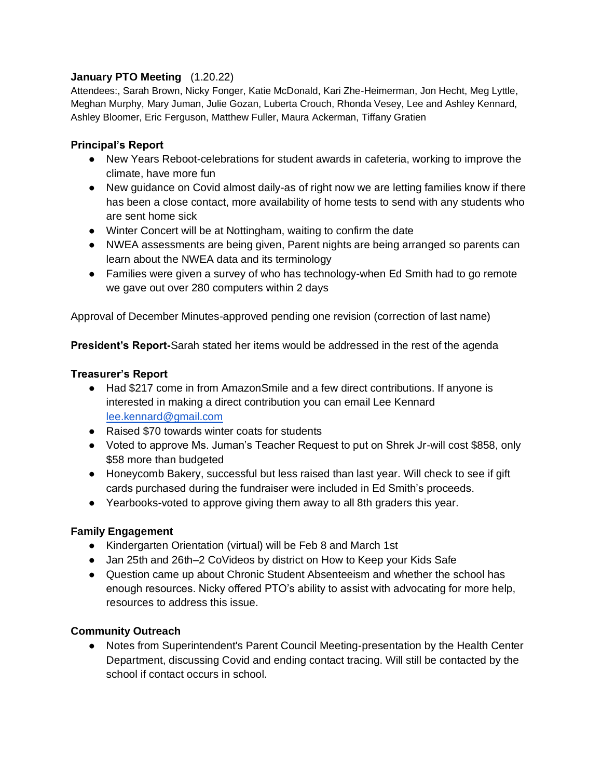## **January PTO Meeting** (1.20.22)

Attendees:, Sarah Brown, Nicky Fonger, Katie McDonald, Kari Zhe-Heimerman, Jon Hecht, Meg Lyttle, Meghan Murphy, Mary Juman, Julie Gozan, Luberta Crouch, Rhonda Vesey, Lee and Ashley Kennard, Ashley Bloomer, Eric Ferguson, Matthew Fuller, Maura Ackerman, Tiffany Gratien

## **Principal's Report**

- New Years Reboot-celebrations for student awards in cafeteria, working to improve the climate, have more fun
- New guidance on Covid almost daily-as of right now we are letting families know if there has been a close contact, more availability of home tests to send with any students who are sent home sick
- Winter Concert will be at Nottingham, waiting to confirm the date
- NWEA assessments are being given, Parent nights are being arranged so parents can learn about the NWEA data and its terminology
- Families were given a survey of who has technology-when Ed Smith had to go remote we gave out over 280 computers within 2 days

Approval of December Minutes-approved pending one revision (correction of last name)

**President's Report-**Sarah stated her items would be addressed in the rest of the agenda

#### **Treasurer's Report**

- Had \$217 come in from AmazonSmile and a few direct contributions. If anyone is interested in making a direct contribution you can email Lee Kennard [lee.kennard@gmail.com](mailto:lee.kennard@gmail.com)
- Raised \$70 towards winter coats for students
- Voted to approve Ms. Juman's Teacher Request to put on Shrek Jr-will cost \$858, only \$58 more than budgeted
- Honeycomb Bakery, successful but less raised than last year. Will check to see if gift cards purchased during the fundraiser were included in Ed Smith's proceeds.
- Yearbooks-voted to approve giving them away to all 8th graders this year.

# **Family Engagement**

- Kindergarten Orientation (virtual) will be Feb 8 and March 1st
- Jan 25th and 26th–2 CoVideos by district on How to Keep your Kids Safe
- Question came up about Chronic Student Absenteeism and whether the school has enough resources. Nicky offered PTO's ability to assist with advocating for more help, resources to address this issue.

#### **Community Outreach**

• Notes from Superintendent's Parent Council Meeting-presentation by the Health Center Department, discussing Covid and ending contact tracing. Will still be contacted by the school if contact occurs in school.